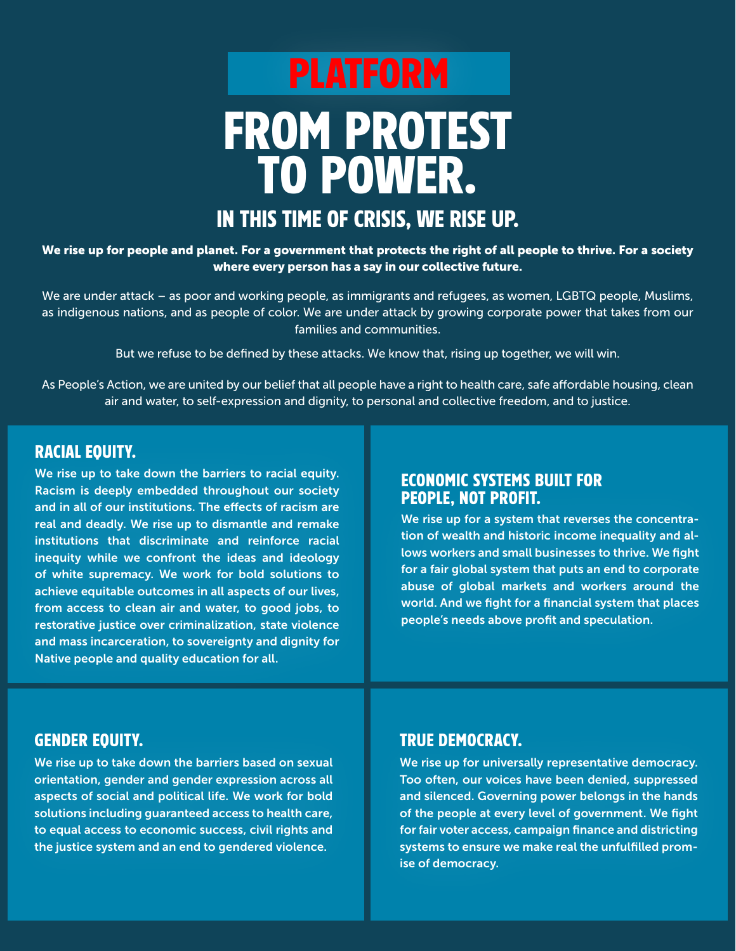# IN THIS TIME OF CRISIS, WE RISE UP. FROM PROTEST TO POWER. PLATFORM

#### We rise up for people and planet. For a government that protects the right of all people to thrive. For a society where every person has a say in our collective future.

We are under attack – as poor and working people, as immigrants and refugees, as women, LGBTQ people, Muslims, as indigenous nations, and as people of color. We are under attack by growing corporate power that takes from our families and communities.

But we refuse to be defined by these attacks. We know that, rising up together, we will win.

As People's Action, we are united by our belief that all people have a right to health care, safe affordable housing, clean air and water, to self-expression and dignity, to personal and collective freedom, and to justice.

#### RACIAL EQUITY.

We rise up to take down the barriers to racial equity. Racism is deeply embedded throughout our society and in all of our institutions. The effects of racism are real and deadly. We rise up to dismantle and remake institutions that discriminate and reinforce racial inequity while we confront the ideas and ideology of white supremacy. We work for bold solutions to achieve equitable outcomes in all aspects of our lives, from access to clean air and water, to good jobs, to restorative justice over criminalization, state violence and mass incarceration, to sovereignty and dignity for Native people and quality education for all.

#### ECONOMIC SYSTEMS BUILT FOR PEOPLE, NOT PROFIT.

We rise up for a system that reverses the concentration of wealth and historic income inequality and allows workers and small businesses to thrive. We fight for a fair global system that puts an end to corporate abuse of global markets and workers around the world. And we fight for a financial system that places people's needs above profit and speculation.

#### GENDER EQUITY.

We rise up to take down the barriers based on sexual orientation, gender and gender expression across all aspects of social and political life. We work for bold solutions including guaranteed access to health care, to equal access to economic success, civil rights and the justice system and an end to gendered violence.

#### TRUE DEMOCRACY.

We rise up for universally representative democracy. Too often, our voices have been denied, suppressed and silenced. Governing power belongs in the hands of the people at every level of government. We fight for fair voter access, campaign finance and districting systems to ensure we make real the unfulfilled promise of democracy.